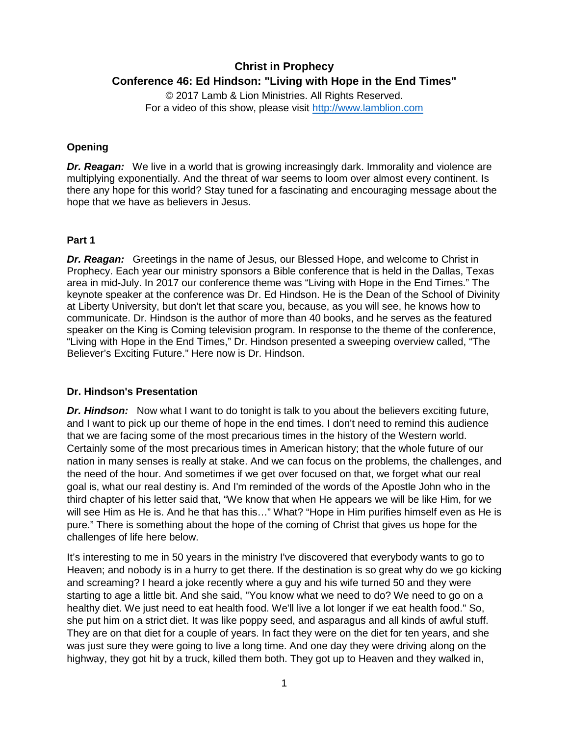# **Christ in Prophecy Conference 46: Ed Hindson: "Living with Hope in the End Times"**

© 2017 Lamb & Lion Ministries. All Rights Reserved. For a video of this show, please visit [http://www.lamblion.com](http://www.lamblion.com/)

# **Opening**

*Dr. Reagan:* We live in a world that is growing increasingly dark. Immorality and violence are multiplying exponentially. And the threat of war seems to loom over almost every continent. Is there any hope for this world? Stay tuned for a fascinating and encouraging message about the hope that we have as believers in Jesus.

### **Part 1**

**Dr. Reagan:** Greetings in the name of Jesus, our Blessed Hope, and welcome to Christ in Prophecy. Each year our ministry sponsors a Bible conference that is held in the Dallas, Texas area in mid-July. In 2017 our conference theme was "Living with Hope in the End Times." The keynote speaker at the conference was Dr. Ed Hindson. He is the Dean of the School of Divinity at Liberty University, but don't let that scare you, because, as you will see, he knows how to communicate. Dr. Hindson is the author of more than 40 books, and he serves as the featured speaker on the King is Coming television program. In response to the theme of the conference, "Living with Hope in the End Times," Dr. Hindson presented a sweeping overview called, "The Believer's Exciting Future." Here now is Dr. Hindson.

### **Dr. Hindson's Presentation**

*Dr. Hindson:* Now what I want to do tonight is talk to you about the believers exciting future, and I want to pick up our theme of hope in the end times. I don't need to remind this audience that we are facing some of the most precarious times in the history of the Western world. Certainly some of the most precarious times in American history; that the whole future of our nation in many senses is really at stake. And we can focus on the problems, the challenges, and the need of the hour. And sometimes if we get over focused on that, we forget what our real goal is, what our real destiny is. And I'm reminded of the words of the Apostle John who in the third chapter of his letter said that, "We know that when He appears we will be like Him, for we will see Him as He is. And he that has this…" What? "Hope in Him purifies himself even as He is pure." There is something about the hope of the coming of Christ that gives us hope for the challenges of life here below.

It's interesting to me in 50 years in the ministry I've discovered that everybody wants to go to Heaven; and nobody is in a hurry to get there. If the destination is so great why do we go kicking and screaming? I heard a joke recently where a guy and his wife turned 50 and they were starting to age a little bit. And she said, "You know what we need to do? We need to go on a healthy diet. We just need to eat health food. We'll live a lot longer if we eat health food." So, she put him on a strict diet. It was like poppy seed, and asparagus and all kinds of awful stuff. They are on that diet for a couple of years. In fact they were on the diet for ten years, and she was just sure they were going to live a long time. And one day they were driving along on the highway, they got hit by a truck, killed them both. They got up to Heaven and they walked in,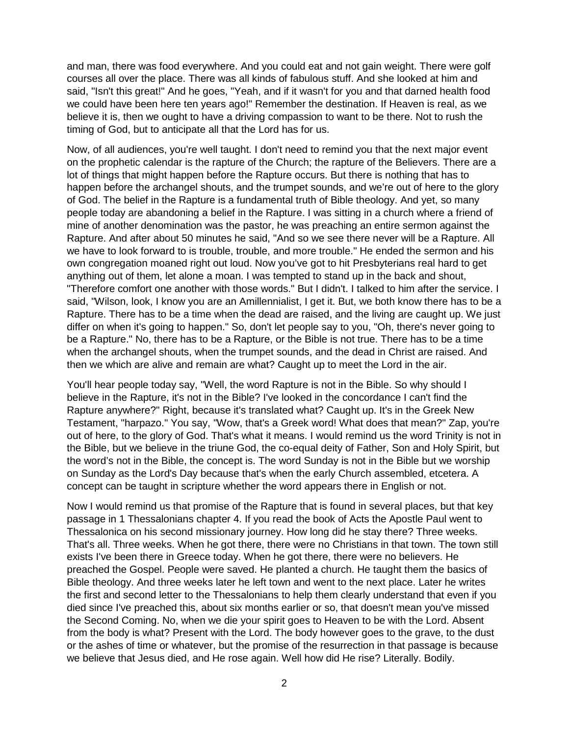and man, there was food everywhere. And you could eat and not gain weight. There were golf courses all over the place. There was all kinds of fabulous stuff. And she looked at him and said, "Isn't this great!" And he goes, "Yeah, and if it wasn't for you and that darned health food we could have been here ten years ago!" Remember the destination. If Heaven is real, as we believe it is, then we ought to have a driving compassion to want to be there. Not to rush the timing of God, but to anticipate all that the Lord has for us.

Now, of all audiences, you're well taught. I don't need to remind you that the next major event on the prophetic calendar is the rapture of the Church; the rapture of the Believers. There are a lot of things that might happen before the Rapture occurs. But there is nothing that has to happen before the archangel shouts, and the trumpet sounds, and we're out of here to the glory of God. The belief in the Rapture is a fundamental truth of Bible theology. And yet, so many people today are abandoning a belief in the Rapture. I was sitting in a church where a friend of mine of another denomination was the pastor, he was preaching an entire sermon against the Rapture. And after about 50 minutes he said, "And so we see there never will be a Rapture. All we have to look forward to is trouble, trouble, and more trouble." He ended the sermon and his own congregation moaned right out loud. Now you've got to hit Presbyterians real hard to get anything out of them, let alone a moan. I was tempted to stand up in the back and shout, "Therefore comfort one another with those words." But I didn't. I talked to him after the service. I said, "Wilson, look, I know you are an Amillennialist, I get it. But, we both know there has to be a Rapture. There has to be a time when the dead are raised, and the living are caught up. We just differ on when it's going to happen." So, don't let people say to you, "Oh, there's never going to be a Rapture." No, there has to be a Rapture, or the Bible is not true. There has to be a time when the archangel shouts, when the trumpet sounds, and the dead in Christ are raised. And then we which are alive and remain are what? Caught up to meet the Lord in the air.

You'll hear people today say, "Well, the word Rapture is not in the Bible. So why should I believe in the Rapture, it's not in the Bible? I've looked in the concordance I can't find the Rapture anywhere?" Right, because it's translated what? Caught up. It's in the Greek New Testament, "harpazo." You say, "Wow, that's a Greek word! What does that mean?" Zap, you're out of here, to the glory of God. That's what it means. I would remind us the word Trinity is not in the Bible, but we believe in the triune God, the co-equal deity of Father, Son and Holy Spirit, but the word's not in the Bible, the concept is. The word Sunday is not in the Bible but we worship on Sunday as the Lord's Day because that's when the early Church assembled, etcetera. A concept can be taught in scripture whether the word appears there in English or not.

Now I would remind us that promise of the Rapture that is found in several places, but that key passage in 1 Thessalonians chapter 4. If you read the book of Acts the Apostle Paul went to Thessalonica on his second missionary journey. How long did he stay there? Three weeks. That's all. Three weeks. When he got there, there were no Christians in that town. The town still exists I've been there in Greece today. When he got there, there were no believers. He preached the Gospel. People were saved. He planted a church. He taught them the basics of Bible theology. And three weeks later he left town and went to the next place. Later he writes the first and second letter to the Thessalonians to help them clearly understand that even if you died since I've preached this, about six months earlier or so, that doesn't mean you've missed the Second Coming. No, when we die your spirit goes to Heaven to be with the Lord. Absent from the body is what? Present with the Lord. The body however goes to the grave, to the dust or the ashes of time or whatever, but the promise of the resurrection in that passage is because we believe that Jesus died, and He rose again. Well how did He rise? Literally. Bodily.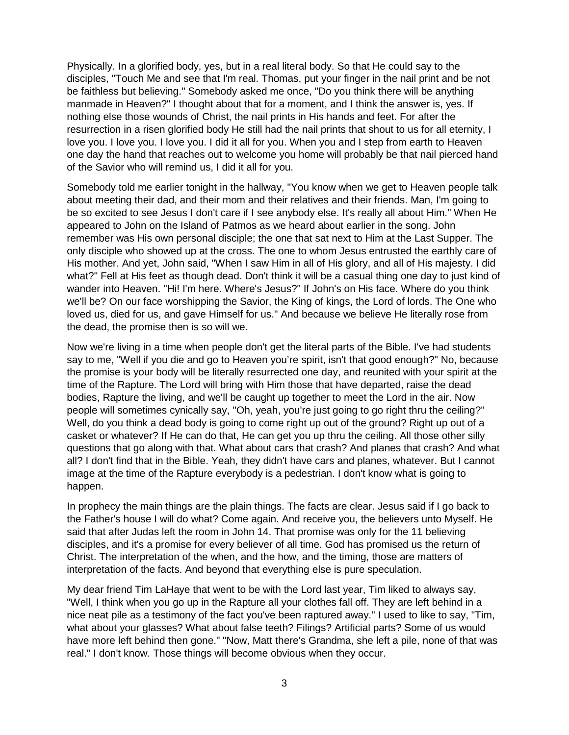Physically. In a glorified body, yes, but in a real literal body. So that He could say to the disciples, "Touch Me and see that I'm real. Thomas, put your finger in the nail print and be not be faithless but believing." Somebody asked me once, "Do you think there will be anything manmade in Heaven?" I thought about that for a moment, and I think the answer is, yes. If nothing else those wounds of Christ, the nail prints in His hands and feet. For after the resurrection in a risen glorified body He still had the nail prints that shout to us for all eternity, I love you. I love you. I love you. I did it all for you. When you and I step from earth to Heaven one day the hand that reaches out to welcome you home will probably be that nail pierced hand of the Savior who will remind us, I did it all for you.

Somebody told me earlier tonight in the hallway, "You know when we get to Heaven people talk about meeting their dad, and their mom and their relatives and their friends. Man, I'm going to be so excited to see Jesus I don't care if I see anybody else. It's really all about Him." When He appeared to John on the Island of Patmos as we heard about earlier in the song. John remember was His own personal disciple; the one that sat next to Him at the Last Supper. The only disciple who showed up at the cross. The one to whom Jesus entrusted the earthly care of His mother. And yet, John said, "When I saw Him in all of His glory, and all of His majesty. I did what?" Fell at His feet as though dead. Don't think it will be a casual thing one day to just kind of wander into Heaven. "Hi! I'm here. Where's Jesus?" If John's on His face. Where do you think we'll be? On our face worshipping the Savior, the King of kings, the Lord of lords. The One who loved us, died for us, and gave Himself for us." And because we believe He literally rose from the dead, the promise then is so will we.

Now we're living in a time when people don't get the literal parts of the Bible. I've had students say to me, "Well if you die and go to Heaven you're spirit, isn't that good enough?" No, because the promise is your body will be literally resurrected one day, and reunited with your spirit at the time of the Rapture. The Lord will bring with Him those that have departed, raise the dead bodies, Rapture the living, and we'll be caught up together to meet the Lord in the air. Now people will sometimes cynically say, "Oh, yeah, you're just going to go right thru the ceiling?" Well, do you think a dead body is going to come right up out of the ground? Right up out of a casket or whatever? If He can do that, He can get you up thru the ceiling. All those other silly questions that go along with that. What about cars that crash? And planes that crash? And what all? I don't find that in the Bible. Yeah, they didn't have cars and planes, whatever. But I cannot image at the time of the Rapture everybody is a pedestrian. I don't know what is going to happen.

In prophecy the main things are the plain things. The facts are clear. Jesus said if I go back to the Father's house I will do what? Come again. And receive you, the believers unto Myself. He said that after Judas left the room in John 14. That promise was only for the 11 believing disciples, and it's a promise for every believer of all time. God has promised us the return of Christ. The interpretation of the when, and the how, and the timing, those are matters of interpretation of the facts. And beyond that everything else is pure speculation.

My dear friend Tim LaHaye that went to be with the Lord last year, Tim liked to always say, "Well, I think when you go up in the Rapture all your clothes fall off. They are left behind in a nice neat pile as a testimony of the fact you've been raptured away." I used to like to say, "Tim, what about your glasses? What about false teeth? Filings? Artificial parts? Some of us would have more left behind then gone." "Now, Matt there's Grandma, she left a pile, none of that was real." I don't know. Those things will become obvious when they occur.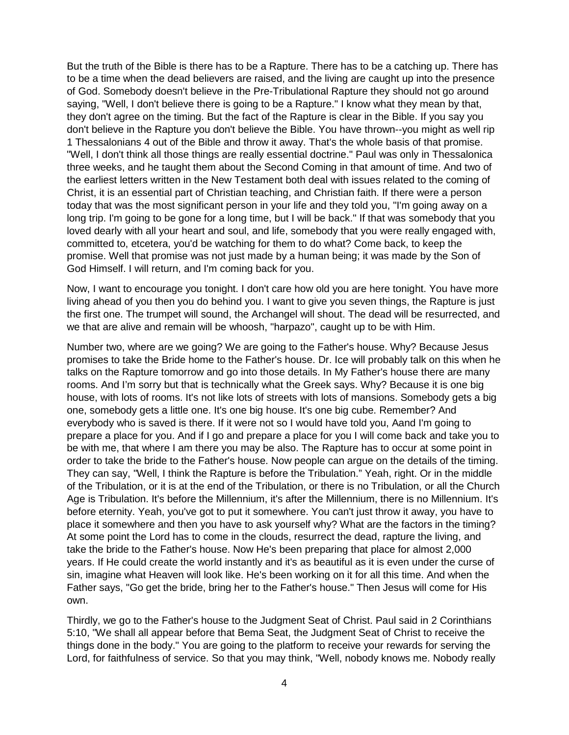But the truth of the Bible is there has to be a Rapture. There has to be a catching up. There has to be a time when the dead believers are raised, and the living are caught up into the presence of God. Somebody doesn't believe in the Pre-Tribulational Rapture they should not go around saying, "Well, I don't believe there is going to be a Rapture." I know what they mean by that, they don't agree on the timing. But the fact of the Rapture is clear in the Bible. If you say you don't believe in the Rapture you don't believe the Bible. You have thrown--you might as well rip 1 Thessalonians 4 out of the Bible and throw it away. That's the whole basis of that promise. "Well, I don't think all those things are really essential doctrine." Paul was only in Thessalonica three weeks, and he taught them about the Second Coming in that amount of time. And two of the earliest letters written in the New Testament both deal with issues related to the coming of Christ, it is an essential part of Christian teaching, and Christian faith. If there were a person today that was the most significant person in your life and they told you, "I'm going away on a long trip. I'm going to be gone for a long time, but I will be back." If that was somebody that you loved dearly with all your heart and soul, and life, somebody that you were really engaged with, committed to, etcetera, you'd be watching for them to do what? Come back, to keep the promise. Well that promise was not just made by a human being; it was made by the Son of God Himself. I will return, and I'm coming back for you.

Now, I want to encourage you tonight. I don't care how old you are here tonight. You have more living ahead of you then you do behind you. I want to give you seven things, the Rapture is just the first one. The trumpet will sound, the Archangel will shout. The dead will be resurrected, and we that are alive and remain will be whoosh, "harpazo", caught up to be with Him.

Number two, where are we going? We are going to the Father's house. Why? Because Jesus promises to take the Bride home to the Father's house. Dr. Ice will probably talk on this when he talks on the Rapture tomorrow and go into those details. In My Father's house there are many rooms. And I'm sorry but that is technically what the Greek says. Why? Because it is one big house, with lots of rooms. It's not like lots of streets with lots of mansions. Somebody gets a big one, somebody gets a little one. It's one big house. It's one big cube. Remember? And everybody who is saved is there. If it were not so I would have told you, Aand I'm going to prepare a place for you. And if I go and prepare a place for you I will come back and take you to be with me, that where I am there you may be also. The Rapture has to occur at some point in order to take the bride to the Father's house. Now people can argue on the details of the timing. They can say, "Well, I think the Rapture is before the Tribulation." Yeah, right. Or in the middle of the Tribulation, or it is at the end of the Tribulation, or there is no Tribulation, or all the Church Age is Tribulation. It's before the Millennium, it's after the Millennium, there is no Millennium. It's before eternity. Yeah, you've got to put it somewhere. You can't just throw it away, you have to place it somewhere and then you have to ask yourself why? What are the factors in the timing? At some point the Lord has to come in the clouds, resurrect the dead, rapture the living, and take the bride to the Father's house. Now He's been preparing that place for almost 2,000 years. If He could create the world instantly and it's as beautiful as it is even under the curse of sin, imagine what Heaven will look like. He's been working on it for all this time. And when the Father says, "Go get the bride, bring her to the Father's house." Then Jesus will come for His own.

Thirdly, we go to the Father's house to the Judgment Seat of Christ. Paul said in 2 Corinthians 5:10, "We shall all appear before that Bema Seat, the Judgment Seat of Christ to receive the things done in the body." You are going to the platform to receive your rewards for serving the Lord, for faithfulness of service. So that you may think, "Well, nobody knows me. Nobody really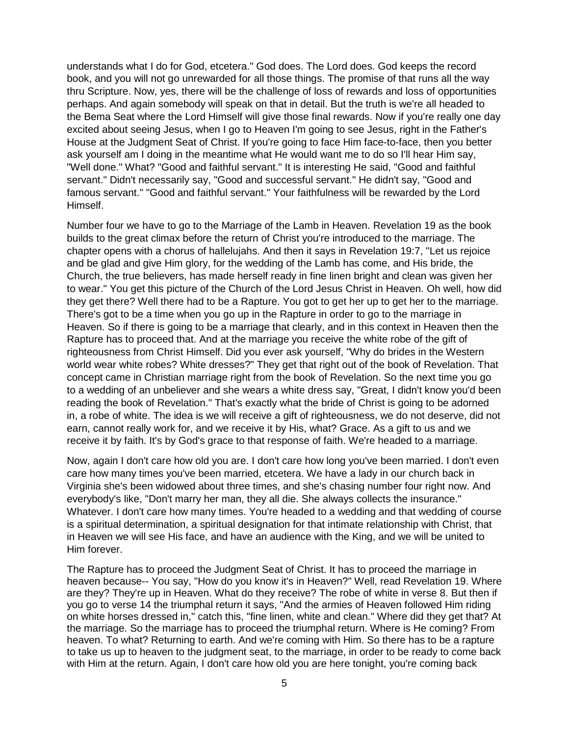understands what I do for God, etcetera." God does. The Lord does. God keeps the record book, and you will not go unrewarded for all those things. The promise of that runs all the way thru Scripture. Now, yes, there will be the challenge of loss of rewards and loss of opportunities perhaps. And again somebody will speak on that in detail. But the truth is we're all headed to the Bema Seat where the Lord Himself will give those final rewards. Now if you're really one day excited about seeing Jesus, when I go to Heaven I'm going to see Jesus, right in the Father's House at the Judgment Seat of Christ. If you're going to face Him face-to-face, then you better ask yourself am I doing in the meantime what He would want me to do so I'll hear Him say, "Well done." What? "Good and faithful servant." It is interesting He said, "Good and faithful servant." Didn't necessarily say, "Good and successful servant." He didn't say, "Good and famous servant." "Good and faithful servant." Your faithfulness will be rewarded by the Lord Himself.

Number four we have to go to the Marriage of the Lamb in Heaven. Revelation 19 as the book builds to the great climax before the return of Christ you're introduced to the marriage. The chapter opens with a chorus of hallelujahs. And then it says in Revelation 19:7, "Let us rejoice and be glad and give Him glory, for the wedding of the Lamb has come, and His bride, the Church, the true believers, has made herself ready in fine linen bright and clean was given her to wear." You get this picture of the Church of the Lord Jesus Christ in Heaven. Oh well, how did they get there? Well there had to be a Rapture. You got to get her up to get her to the marriage. There's got to be a time when you go up in the Rapture in order to go to the marriage in Heaven. So if there is going to be a marriage that clearly, and in this context in Heaven then the Rapture has to proceed that. And at the marriage you receive the white robe of the gift of righteousness from Christ Himself. Did you ever ask yourself, "Why do brides in the Western world wear white robes? White dresses?" They get that right out of the book of Revelation. That concept came in Christian marriage right from the book of Revelation. So the next time you go to a wedding of an unbeliever and she wears a white dress say, "Great, I didn't know you'd been reading the book of Revelation." That's exactly what the bride of Christ is going to be adorned in, a robe of white. The idea is we will receive a gift of righteousness, we do not deserve, did not earn, cannot really work for, and we receive it by His, what? Grace. As a gift to us and we receive it by faith. It's by God's grace to that response of faith. We're headed to a marriage.

Now, again I don't care how old you are. I don't care how long you've been married. I don't even care how many times you've been married, etcetera. We have a lady in our church back in Virginia she's been widowed about three times, and she's chasing number four right now. And everybody's like, "Don't marry her man, they all die. She always collects the insurance." Whatever. I don't care how many times. You're headed to a wedding and that wedding of course is a spiritual determination, a spiritual designation for that intimate relationship with Christ, that in Heaven we will see His face, and have an audience with the King, and we will be united to Him forever.

The Rapture has to proceed the Judgment Seat of Christ. It has to proceed the marriage in heaven because-- You say, "How do you know it's in Heaven?" Well, read Revelation 19. Where are they? They're up in Heaven. What do they receive? The robe of white in verse 8. But then if you go to verse 14 the triumphal return it says, "And the armies of Heaven followed Him riding on white horses dressed in," catch this, "fine linen, white and clean." Where did they get that? At the marriage. So the marriage has to proceed the triumphal return. Where is He coming? From heaven. To what? Returning to earth. And we're coming with Him. So there has to be a rapture to take us up to heaven to the judgment seat, to the marriage, in order to be ready to come back with Him at the return. Again, I don't care how old you are here tonight, you're coming back